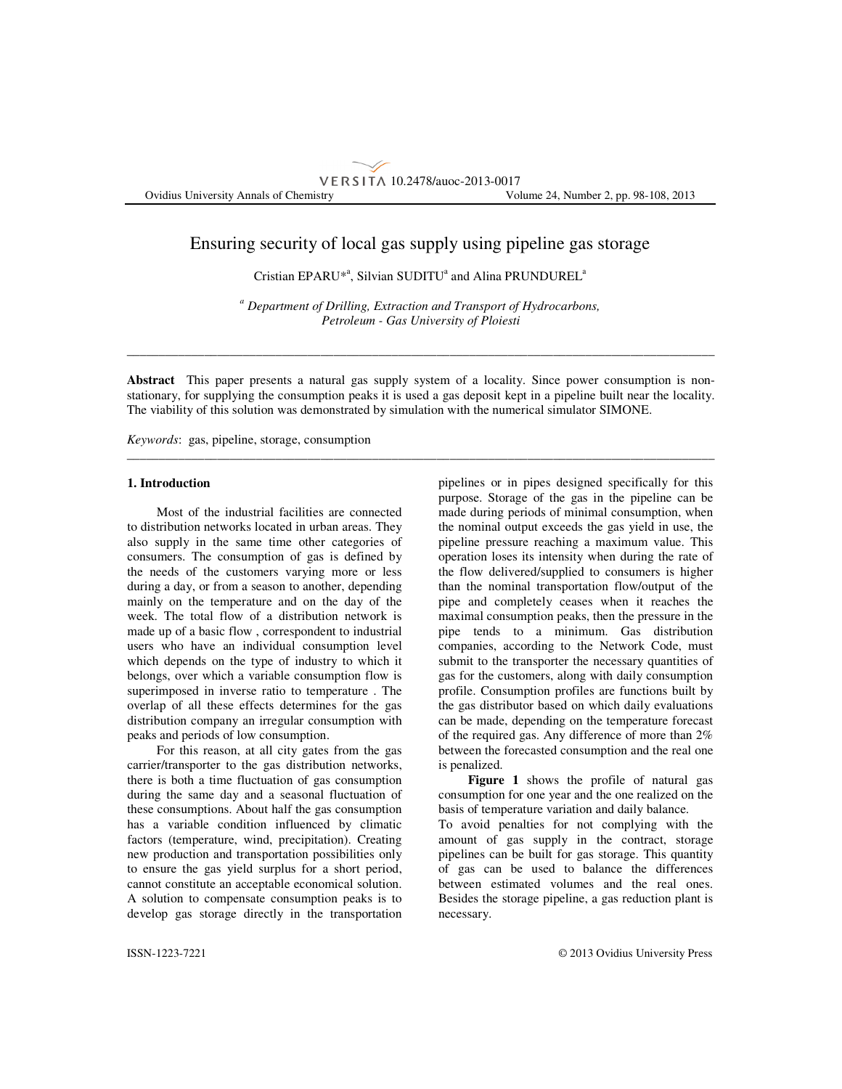# VERSITA 10.2478/auoc-2013-0017 Ovidius University Annals of Chemistry Volume 24, Number 2, pp. 98-108, 2013

# Ensuring security of local gas supply using pipeline gas storage

Cristian EPARU<sup>\*</sup><sup>a</sup>, Silvian SUDITU<sup>a</sup> and Alina PRUNDUREL<sup>a</sup>

*a Department of Drilling, Extraction and Transport of Hydrocarbons, Petroleum - Gas University of Ploiesti* 

\_\_\_\_\_\_\_\_\_\_\_\_\_\_\_\_\_\_\_\_\_\_\_\_\_\_\_\_\_\_\_\_\_\_\_\_\_\_\_\_\_\_\_\_\_\_\_\_\_\_\_\_\_\_\_\_\_\_\_\_\_\_\_\_\_\_\_\_\_\_\_\_\_\_\_\_\_\_\_\_\_\_\_\_\_\_\_\_\_\_\_

**Abstract** This paper presents a natural gas supply system of a locality. Since power consumption is nonstationary, for supplying the consumption peaks it is used a gas deposit kept in a pipeline built near the locality. The viability of this solution was demonstrated by simulation with the numerical simulator SIMONE.

\_\_\_\_\_\_\_\_\_\_\_\_\_\_\_\_\_\_\_\_\_\_\_\_\_\_\_\_\_\_\_\_\_\_\_\_\_\_\_\_\_\_\_\_\_\_\_\_\_\_\_\_\_\_\_\_\_\_\_\_\_\_\_\_\_\_\_\_\_\_\_\_\_\_\_\_\_\_\_\_\_\_\_\_\_\_\_\_\_\_\_

*Keywords*: gas, pipeline, storage, consumption

### **1. Introduction**

 Most of the industrial facilities are connected to distribution networks located in urban areas. They also supply in the same time other categories of consumers. The consumption of gas is defined by the needs of the customers varying more or less during a day, or from a season to another, depending mainly on the temperature and on the day of the week. The total flow of a distribution network is made up of a basic flow , correspondent to industrial users who have an individual consumption level which depends on the type of industry to which it belongs, over which a variable consumption flow is superimposed in inverse ratio to temperature . The overlap of all these effects determines for the gas distribution company an irregular consumption with peaks and periods of low consumption.

For this reason, at all city gates from the gas carrier/transporter to the gas distribution networks, there is both a time fluctuation of gas consumption during the same day and a seasonal fluctuation of these consumptions. About half the gas consumption has a variable condition influenced by climatic factors (temperature, wind, precipitation). Creating new production and transportation possibilities only to ensure the gas yield surplus for a short period, cannot constitute an acceptable economical solution. A solution to compensate consumption peaks is to develop gas storage directly in the transportation pipelines or in pipes designed specifically for this purpose. Storage of the gas in the pipeline can be made during periods of minimal consumption, when the nominal output exceeds the gas yield in use, the pipeline pressure reaching a maximum value. This operation loses its intensity when during the rate of the flow delivered/supplied to consumers is higher than the nominal transportation flow/output of the pipe and completely ceases when it reaches the maximal consumption peaks, then the pressure in the pipe tends to a minimum. Gas distribution companies, according to the Network Code, must submit to the transporter the necessary quantities of gas for the customers, along with daily consumption profile. Consumption profiles are functions built by the gas distributor based on which daily evaluations can be made, depending on the temperature forecast of the required gas. Any difference of more than 2% between the forecasted consumption and the real one is penalized.

**Figure 1** shows the profile of natural gas consumption for one year and the one realized on the basis of temperature variation and daily balance.

To avoid penalties for not complying with the amount of gas supply in the contract, storage pipelines can be built for gas storage. This quantity of gas can be used to balance the differences between estimated volumes and the real ones. Besides the storage pipeline, a gas reduction plant is necessary.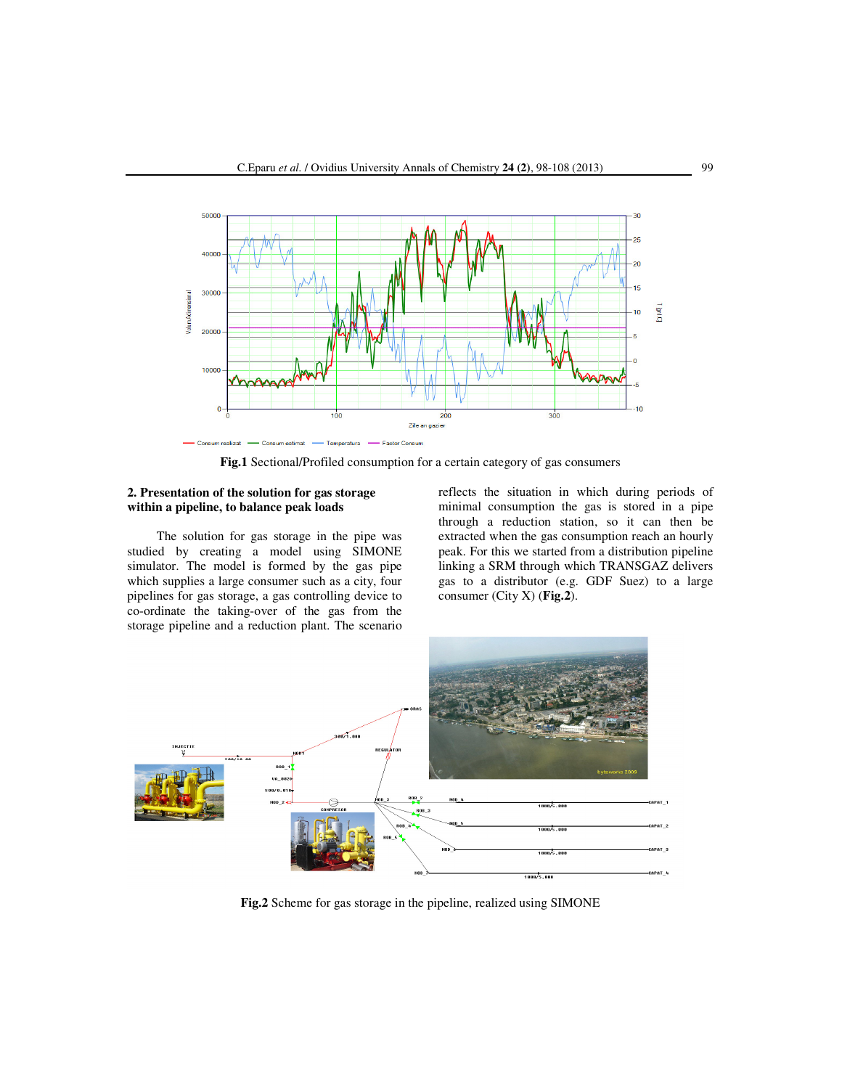

**Fig.1** Sectional/Profiled consumption for a certain category of gas consumers

## **2. Presentation of the solution for gas storage within a pipeline, to balance peak loads**

The solution for gas storage in the pipe was studied by creating a model using SIMONE simulator. The model is formed by the gas pipe which supplies a large consumer such as a city, four pipelines for gas storage, a gas controlling device to co-ordinate the taking-over of the gas from the storage pipeline and a reduction plant. The scenario reflects the situation in which during periods of minimal consumption the gas is stored in a pipe through a reduction station, so it can then be extracted when the gas consumption reach an hourly peak. For this we started from a distribution pipeline linking a SRM through which TRANSGAZ delivers gas to a distributor (e.g. GDF Suez) to a large consumer (City X) (**Fig.2**).



**Fig.2** Scheme for gas storage in the pipeline, realized using SIMONE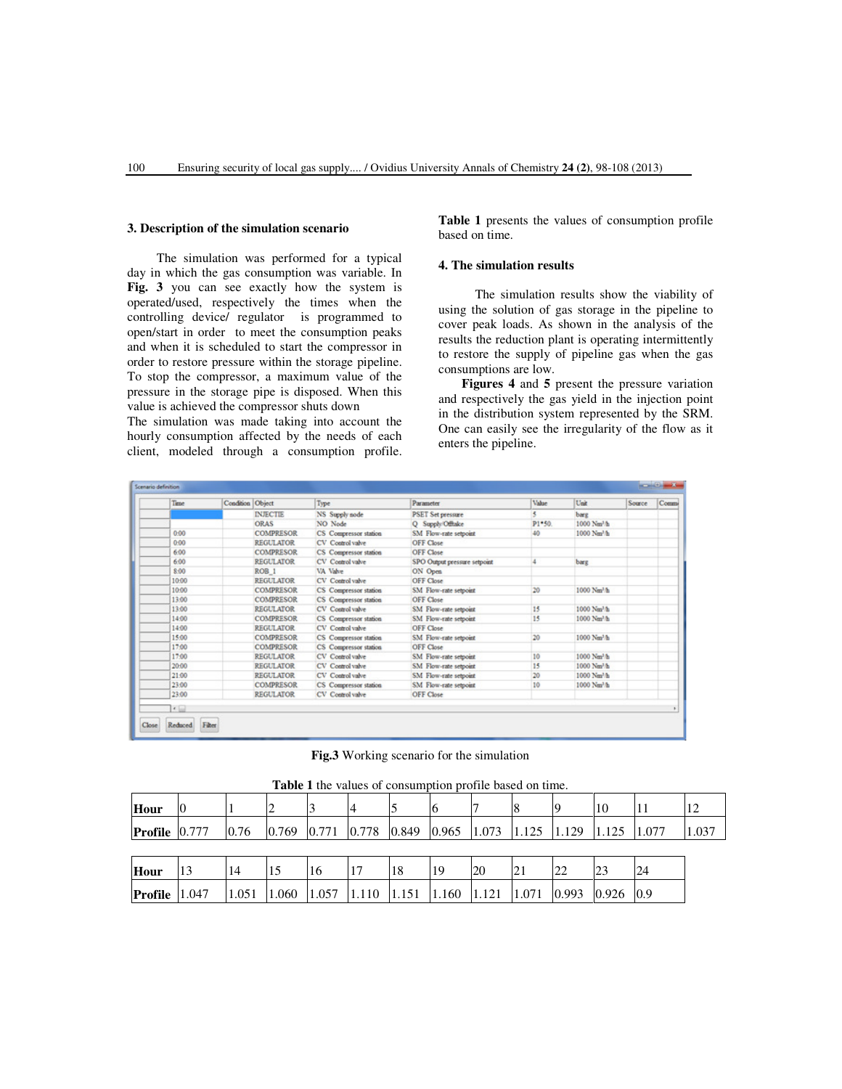#### **3. Description of the simulation scenario**

The simulation was performed for a typical day in which the gas consumption was variable. In **Fig. 3** you can see exactly how the system is operated/used, respectively the times when the controlling device/ regulator is programmed to open/start in order to meet the consumption peaks and when it is scheduled to start the compressor in order to restore pressure within the storage pipeline. To stop the compressor, a maximum value of the pressure in the storage pipe is disposed. When this value is achieved the compressor shuts down

The simulation was made taking into account the hourly consumption affected by the needs of each client, modeled through a consumption profile. **Table 1** presents the values of consumption profile based on time.

# **4. The simulation results**

 The simulation results show the viability of using the solution of gas storage in the pipeline to cover peak loads. As shown in the analysis of the results the reduction plant is operating intermittently to restore the supply of pipeline gas when the gas consumptions are low.

**Figures 4** and **5** present the pressure variation and respectively the gas yield in the injection point in the distribution system represented by the SRM. One can easily see the irregularity of the flow as it enters the pipeline.

| Time     | Condition Object |                  | Type                  | Parameter                    | Value  | Unit                    | Source | Commi |
|----------|------------------|------------------|-----------------------|------------------------------|--------|-------------------------|--------|-------|
|          |                  | <b>INJECTIE</b>  | NS Supply node        | <b>PSET Set pressure</b>     | ٠      | barg                    |        |       |
|          |                  | ORAS             | NO Node               | O Supply Offisice            | P1*50. | 1000 Nm <sup>3</sup> /h |        |       |
| $0 - 00$ |                  | <b>COMPRESOR</b> | CS Compressor station | SM Flow-rate setpoint        | 40     | 1000 Nm <sup>3</sup> /h |        |       |
| $0-00$   |                  | <b>REGULATOR</b> | CV Control valve      | <b>OFF Close</b>             |        |                         |        |       |
| 6:00     |                  | <b>COMPRESOR</b> | CS Compressor station | OFF Close                    |        |                         |        |       |
| 6:00     |                  | <b>REGULATOR</b> | CV Control valve      | SPO Output pressure setpoint |        | barg                    |        |       |
| $8 - 00$ |                  | ROB <sub>1</sub> | VA Value              | ON Open                      |        |                         |        |       |
| 10-00    |                  | <b>REGULATOR</b> | CV Control valve      | OFF Close                    |        |                         |        |       |
| 10:00    |                  | <b>COMPRESOR</b> | CS Compressor station | SM Flow-rate setpoint        | 20     | 1000 Nm <sup>3</sup> /h |        |       |
| 13:00    |                  | <b>COMPRESOR</b> | CS Compressor station | OFF Close                    |        |                         |        |       |
| 13:00    |                  | <b>REGULATOR</b> | CV Control valve      | SM Flow-rate setpoint        | 15     | 1000 Nm <sup>1</sup> /h |        |       |
| 14:00    |                  | <b>COMPRESOR</b> | CS Compressor station | SM Flow-rate setpoint        | 15     | 1000 Nm <sup>1</sup> /h |        |       |
| 14:00    |                  | <b>REGULATOR</b> | CV Control valve      | OFF Close                    |        |                         |        |       |
| 15:00    |                  | <b>COMPRESOR</b> | CS Compressor station | SM Flow-rate setpoint        | 20     | 1000 Nm <sup>3</sup> /h |        |       |
| 17:00    |                  | <b>COMPRESOR</b> | CS Compressor station | OFF Close                    |        |                         |        |       |
| 17:00    |                  | <b>REGULATOR</b> | CV Control valve      | SM Flow-rate setpoint        | 10     | 1000 Nm <sup>1</sup> /h |        |       |
| 20:00    |                  | <b>REGULATOR</b> | CV Control valve      | SM Flow-rate setpoint        | 15     | 1000 Nm <sup>3</sup> /h |        |       |
| 21:00    |                  | <b>REGULATOR</b> | CV Control valve      | SM Flow-rate setpoint        | 20     | 1000 Nm <sup>3</sup> /h |        |       |
| 23:00    |                  | <b>COMPRESOR</b> | CS Compressor station | SM Flow-rate setpoint        | 10     | 1000 Nm <sup>3</sup> /h |        |       |
| 23:00    |                  | <b>REGULATOR</b> | CV Control valve      | OFF Close                    |        |                         |        |       |

**Fig.3** Working scenario for the simulation

| <b>Table 1</b> the values of consumption profile based on time. |  |       |       |                                                                                 |  |    |    |    |  |               |       |       |       |
|-----------------------------------------------------------------|--|-------|-------|---------------------------------------------------------------------------------|--|----|----|----|--|---------------|-------|-------|-------|
| Hour                                                            |  |       |       |                                                                                 |  |    |    |    |  |               | 10    |       | 12    |
| <b>Profile</b> $ 0.777$                                         |  | 0.76  | 0.769 |                                                                                 |  |    |    |    |  | 1.129         | 1.125 | 1.077 | 1.037 |
|                                                                 |  |       |       |                                                                                 |  |    |    |    |  |               |       |       |       |
| Hour                                                            |  | 14    |       | 16                                                                              |  | 18 | 19 | 20 |  | 22            |       | 24    |       |
| <b>Profile</b> $ 1.047$                                         |  | 1.051 | 1.060 | $\vert 1.057 \vert 1.110 \vert 1.151 \vert 1.160 \vert 1.121 \vert 1.071 \vert$ |  |    |    |    |  | $0.993$ 0.926 |       | 0.9   |       |

**Table 1** the values of consumption profile based on time.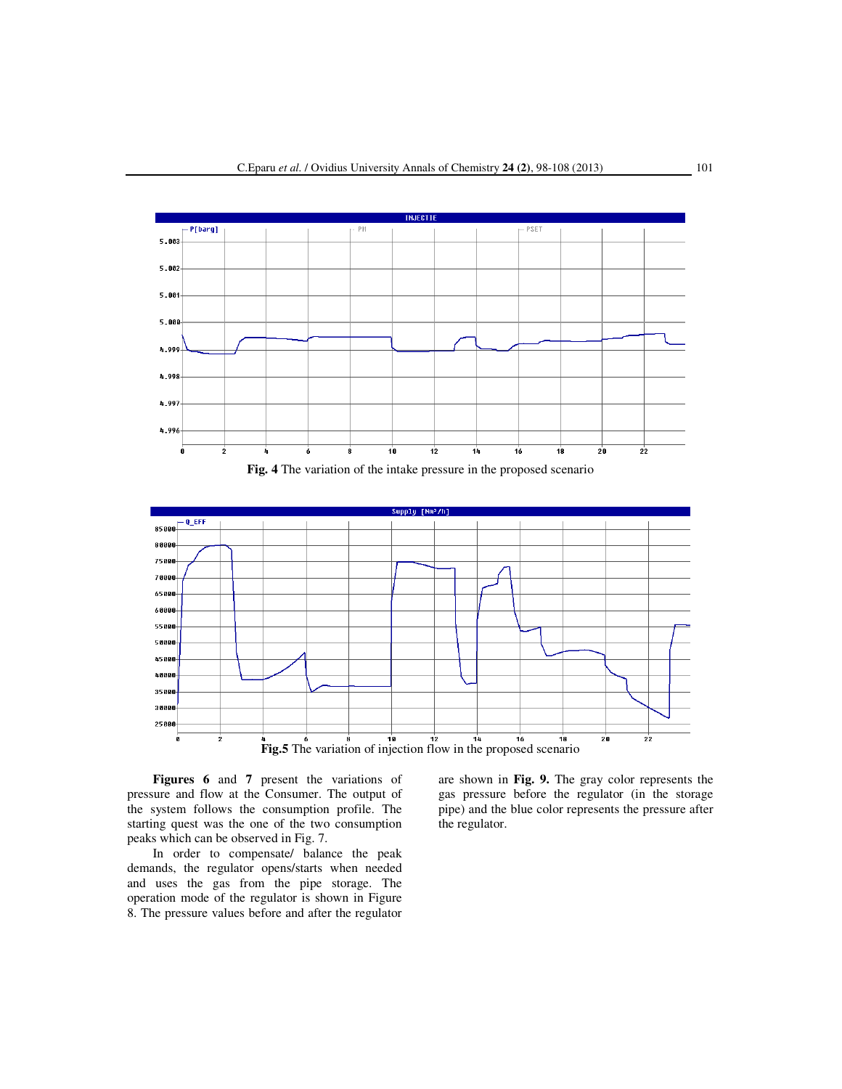

**Fig. 4** The variation of the intake pressure in the proposed scenario



**Figures 6** and **7** present the variations of pressure and flow at the Consumer. The output of the system follows the consumption profile. The starting quest was the one of the two consumption peaks which can be observed in Fig. 7.

In order to compensate/ balance the peak demands, the regulator opens/starts when needed and uses the gas from the pipe storage. The operation mode of the regulator is shown in Figure 8. The pressure values before and after the regulator are shown in **Fig. 9.** The gray color represents the gas pressure before the regulator (in the storage pipe) and the blue color represents the pressure after the regulator.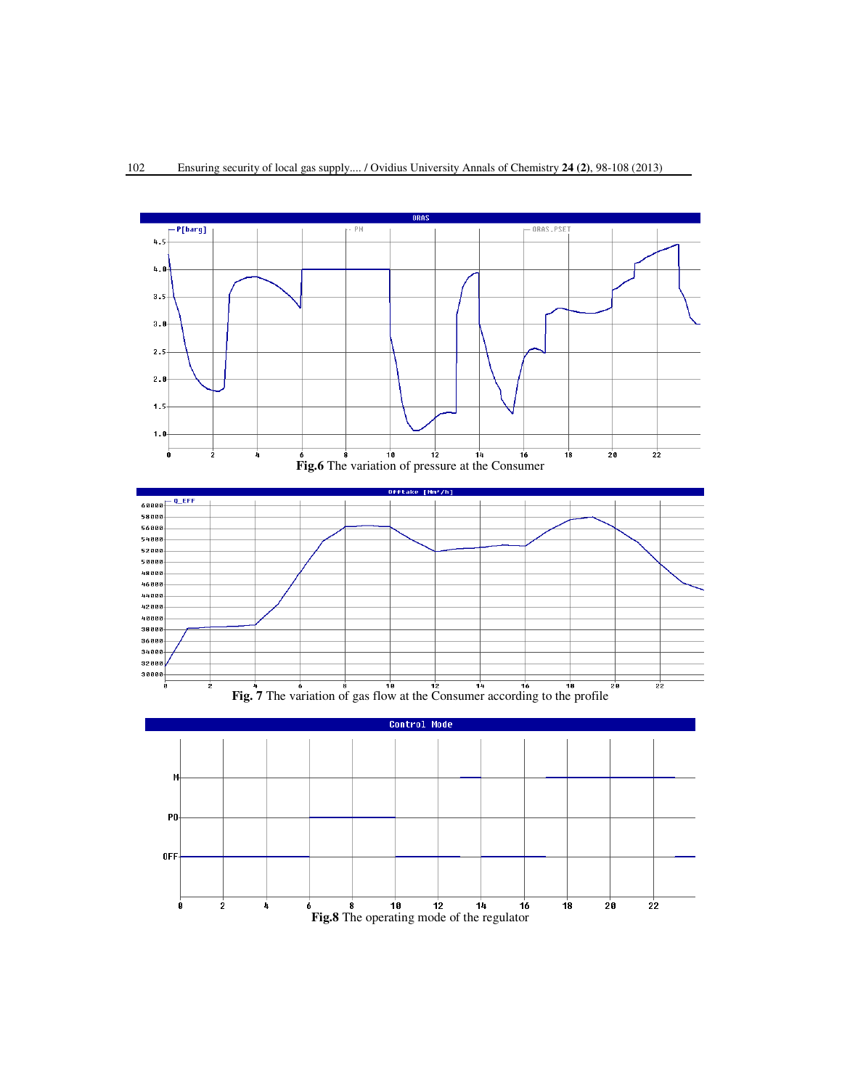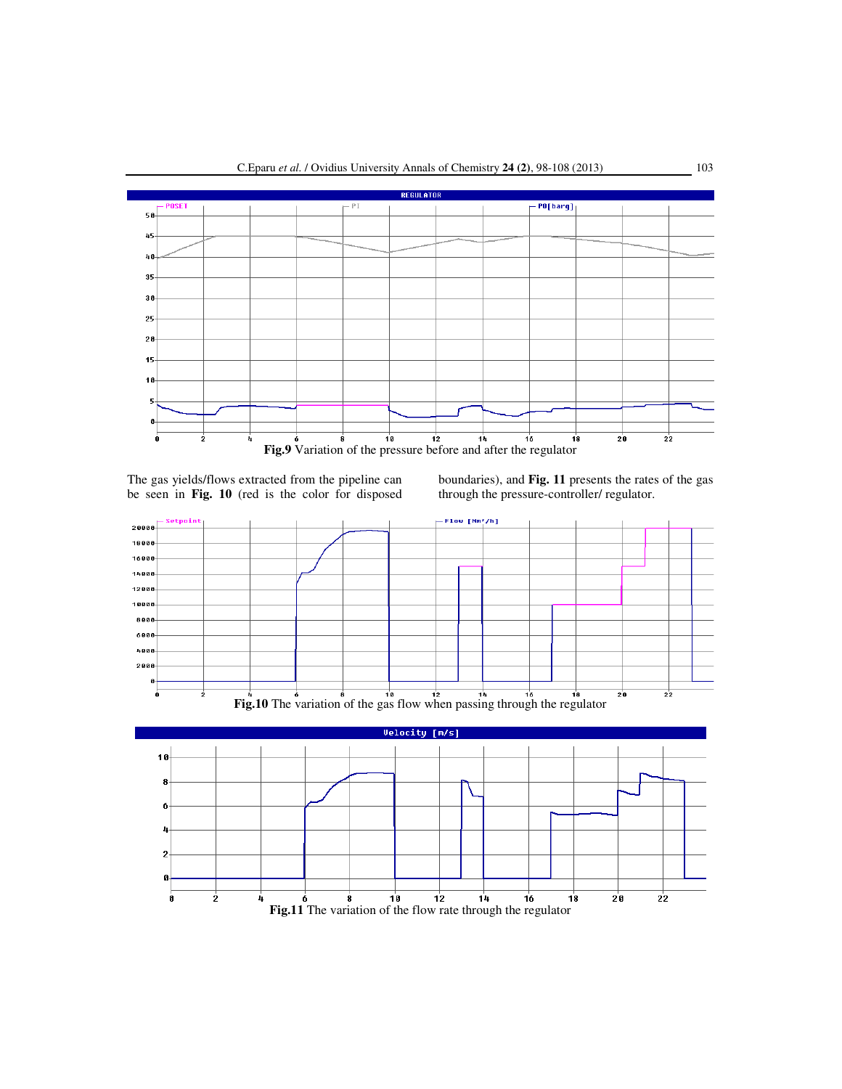

The gas yields/flows extracted from the pipeline can be seen in **Fig. 10** (red is the color for disposed

boundaries), and **Fig. 11** presents the rates of the gas through the pressure-controller/ regulator.





**Fig.11** The variation of the flow rate through the regulator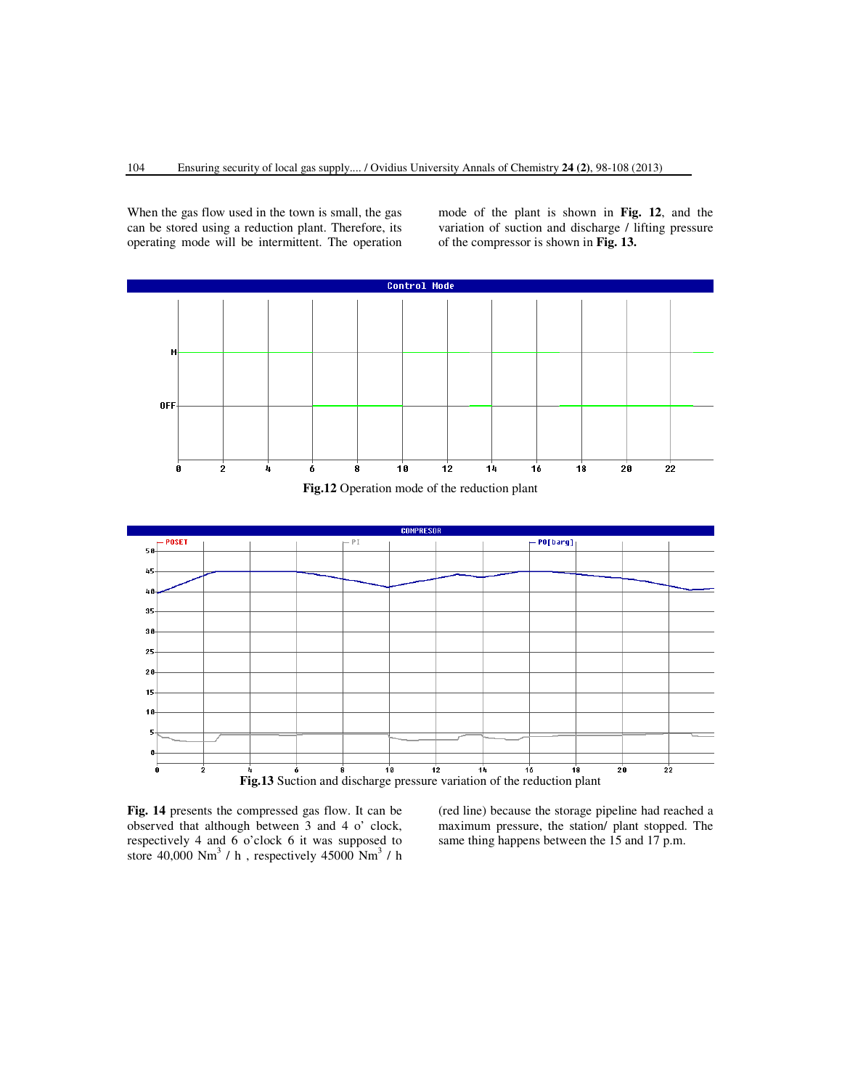When the gas flow used in the town is small, the gas can be stored using a reduction plant. Therefore, its operating mode will be intermittent. The operation mode of the plant is shown in **Fig. 12**, and the variation of suction and discharge / lifting pressure of the compressor is shown in **Fig. 13.**



**Fig.12** Operation mode of the reduction plant



**Fig. 14** presents the compressed gas flow. It can be observed that although between 3 and 4 o' clock, respectively 4 and 6 o'clock 6 it was supposed to store  $40,000$  Nm<sup>3</sup> / h, respectively  $45000$  Nm<sup>3</sup> / h (red line) because the storage pipeline had reached a maximum pressure, the station/ plant stopped. The same thing happens between the 15 and 17 p.m.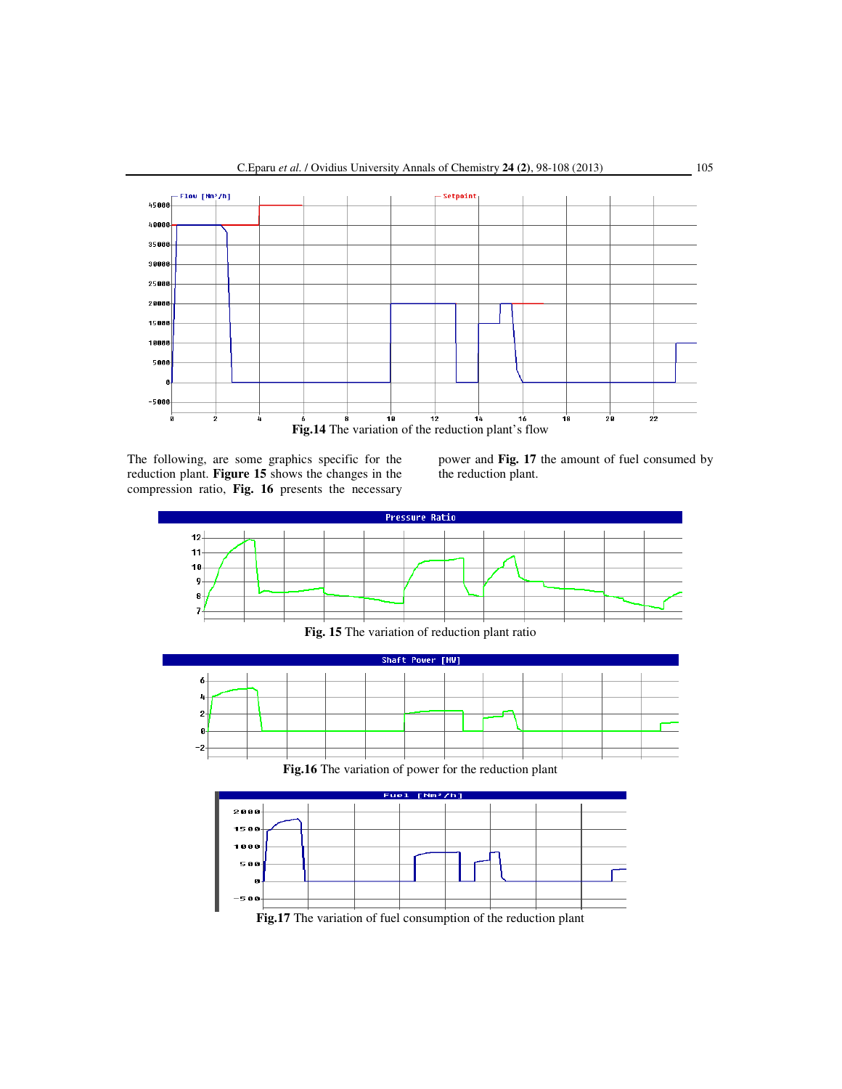

The following, are some graphics specific for the reduction plant. **Figure 15** shows the changes in the compression ratio, **Fig. 16** presents the necessary power and **Fig. 17** the amount of fuel consumed by the reduction plant.



**Fig.17** The variation of fuel consumption of the reduction plant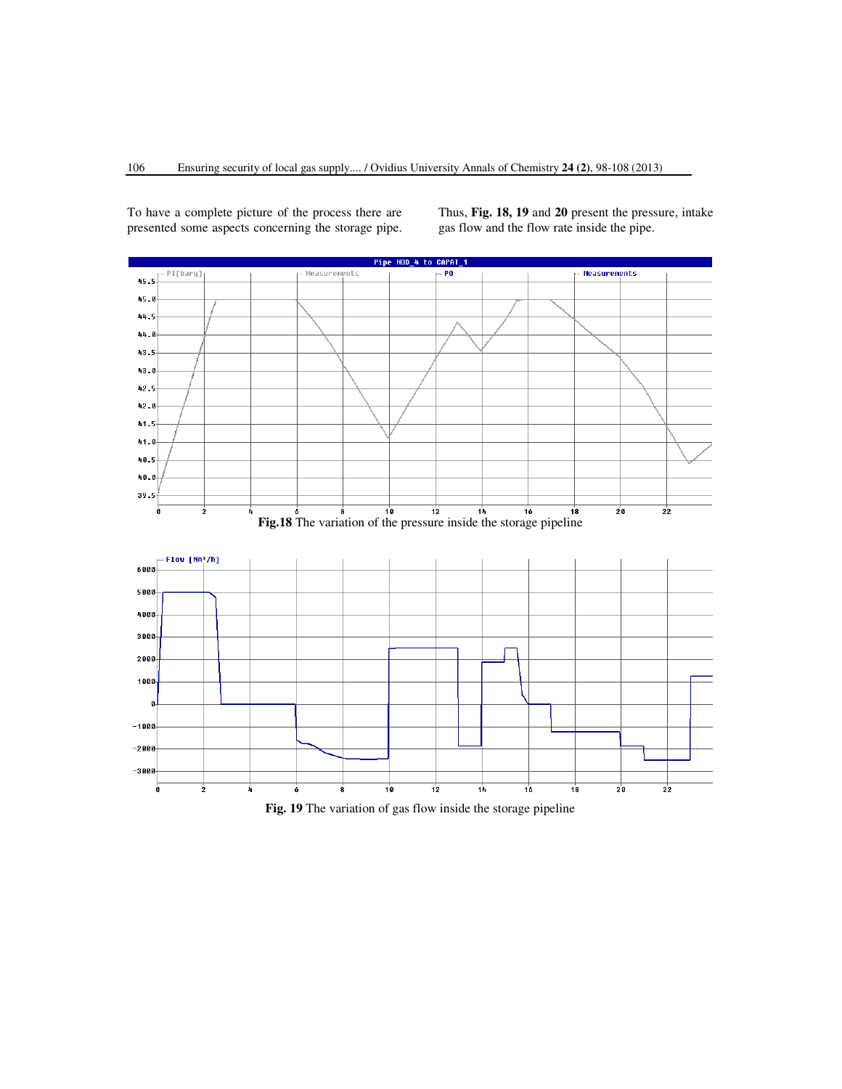To have a complete picture of the process there are presented some aspects concerning the storage pipe. Thus, **Fig. 18, 19** and **20** present the pressure, intake gas flow and the flow rate inside the pipe.



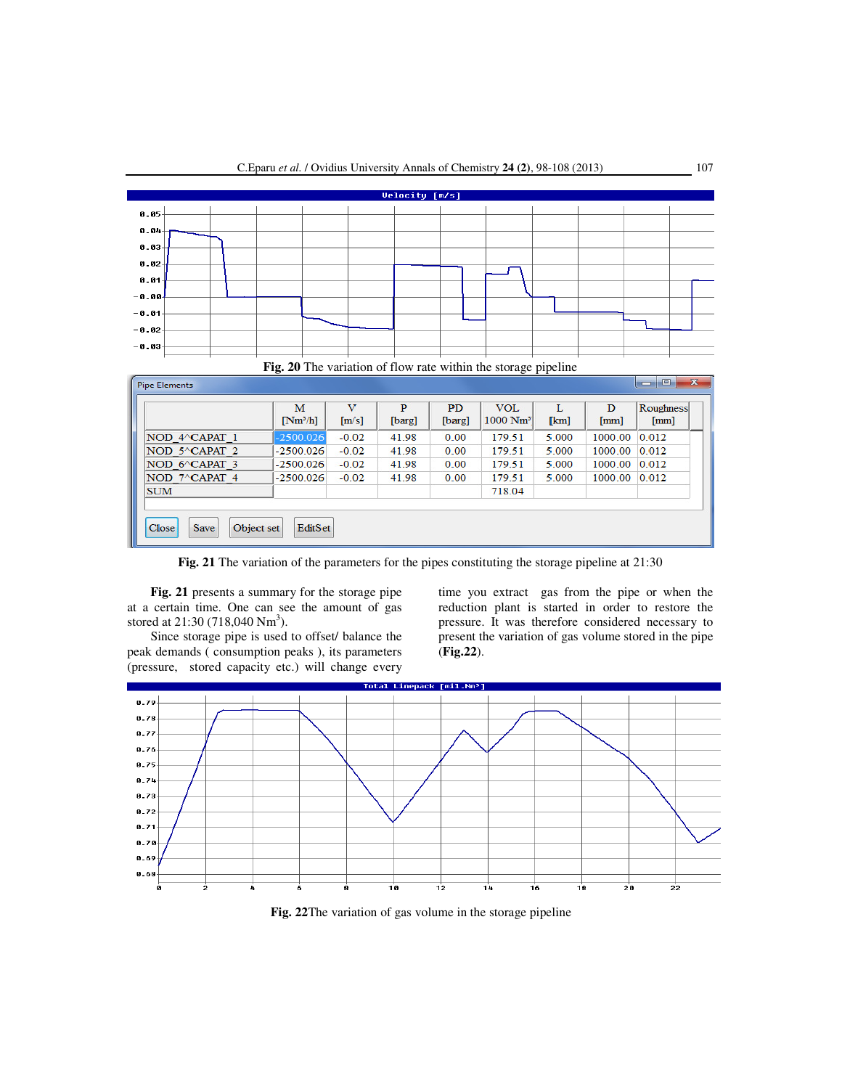

**Fig. 21** The variation of the parameters for the pipes constituting the storage pipeline at 21:30

**Fig. 21** presents a summary for the storage pipe at a certain time. One can see the amount of gas stored at  $21:30(718,040 \text{ Nm}^3)$ .

 Since storage pipe is used to offset/ balance the peak demands ( consumption peaks ), its parameters (pressure, stored capacity etc.) will change every

time you extract gas from the pipe or when the reduction plant is started in order to restore the pressure. It was therefore considered necessary to present the variation of gas volume stored in the pipe (**Fig.22**).



**Fig. 22**The variation of gas volume in the storage pipeline